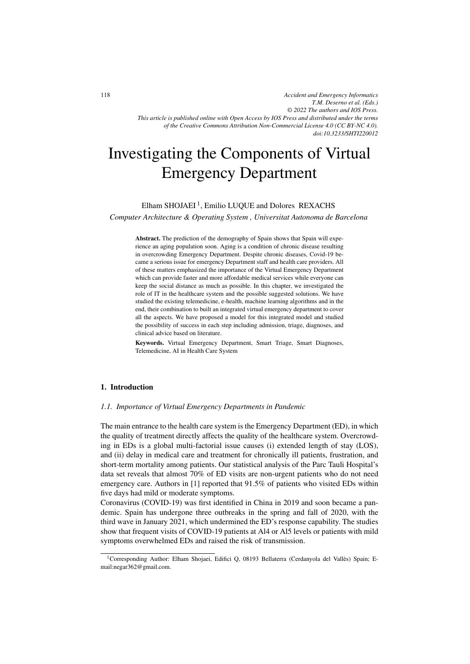*Accident and Emergency Informatics T.M. Deserno et al. (Eds.) © 2022 The authors and IOS Press. This article is published online with Open Access by IOS Press and distributed under the terms of the Creative Commons Attribution Non-Commercial License 4.0 (CC BY-NC 4.0). doi:10.3233/SHTI220012*

# Investigating the Components of Virtual Emergency Department

Elham SHOJAEI<sup>1</sup>, Emilio LUQUE and Dolores REXACHS

*Computer Architecture & Operating System , Universitat Autonoma de Barcelona*

Abstract. The prediction of the demography of Spain shows that Spain will experience an aging population soon. Aging is a condition of chronic disease resulting in overcrowding Emergency Department. Despite chronic diseases, Covid-19 became a serious issue for emergency Department staff and health care providers. All of these matters emphasized the importance of the Virtual Emergency Department which can provide faster and more affordable medical services while everyone can keep the social distance as much as possible. In this chapter, we investigated the role of IT in the healthcare system and the possible suggested solutions. We have studied the existing telemedicine, e-health, machine learning algorithms and in the end, their combination to built an integrated virtual emergency department to cover all the aspects. We have proposed a model for this integrated model and studied the possibility of success in each step including admission, triage, diagnoses, and clinical advice based on literature.

Keywords. Virtual Emergency Department, Smart Triage, Smart Diagnoses, Telemedicine, AI in Health Care System

# 1. Introduction

## *1.1. Importance of Virtual Emergency Departments in Pandemic*

The main entrance to the health care system is the Emergency Department (ED), in which the quality of treatment directly affects the quality of the healthcare system. Overcrowding in EDs is a global multi-factorial issue causes (i) extended length of stay (LOS), and (ii) delay in medical care and treatment for chronically ill patients, frustration, and short-term mortality among patients. Our statistical analysis of the Parc Tauli Hospital's data set reveals that almost 70% of ED visits are non-urgent patients who do not need emergency care. Authors in [\[1\]](#page-11-0) reported that 91.5% of patients who visited EDs within five days had mild or moderate symptoms.

Coronavirus (COVID-19) was first identified in China in 2019 and soon became a pandemic. Spain has undergone three outbreaks in the spring and fall of 2020, with the third wave in January 2021, which undermined the ED's response capability. The studies show that frequent visits of COVID-19 patients at Al4 or Al5 levels or patients with mild symptoms overwhelmed EDs and raised the risk of transmission.

<sup>1</sup>Corresponding Author: Elham Shojaei, Edifici Q, 08193 Bellaterra (Cerdanyola del Valles) Spain; E- ` mail:negar362@gmail.com.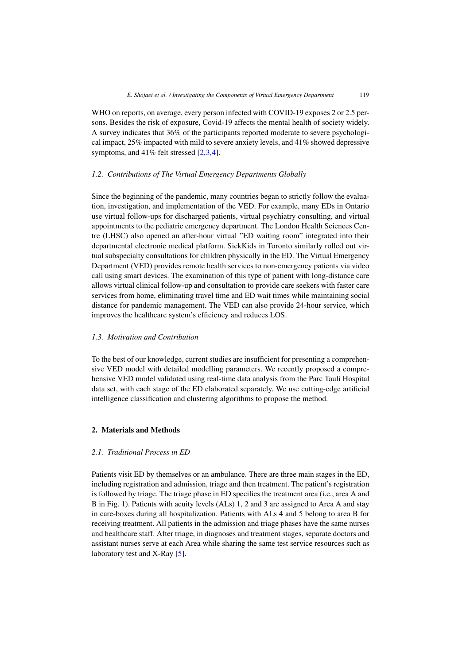WHO on reports, on average, every person infected with COVID-19 exposes 2 or 2.5 persons. Besides the risk of exposure, Covid-19 affects the mental health of society widely. A survey indicates that 36% of the participants reported moderate to severe psychological impact, 25% impacted with mild to severe anxiety levels, and 41% showed depressive symptoms, and 41% felt stressed [\[2,3,4\]](#page-11-0).

# *1.2. Contributions of The Virtual Emergency Departments Globally*

Since the beginning of the pandemic, many countries began to strictly follow the evaluation, investigation, and implementation of the VED. For example, many EDs in Ontario use virtual follow-ups for discharged patients, virtual psychiatry consulting, and virtual appointments to the pediatric emergency department. The London Health Sciences Centre (LHSC) also opened an after-hour virtual "ED waiting room" integrated into their departmental electronic medical platform. SickKids in Toronto similarly rolled out virtual subspecialty consultations for children physically in the ED. The Virtual Emergency Department (VED) provides remote health services to non-emergency patients via video call using smart devices. The examination of this type of patient with long-distance care allows virtual clinical follow-up and consultation to provide care seekers with faster care services from home, eliminating travel time and ED wait times while maintaining social distance for pandemic management. The VED can also provide 24-hour service, which improves the healthcare system's efficiency and reduces LOS.

# *1.3. Motivation and Contribution*

To the best of our knowledge, current studies are insufficient for presenting a comprehensive VED model with detailed modelling parameters. We recently proposed a comprehensive VED model validated using real-time data analysis from the Parc Tauli Hospital data set, with each stage of the ED elaborated separately. We use cutting-edge artificial intelligence classification and clustering algorithms to propose the method.

# 2. Materials and Methods

# *2.1. Traditional Process in ED*

Patients visit ED by themselves or an ambulance. There are three main stages in the ED, including registration and admission, triage and then treatment. The patient's registration is followed by triage. The triage phase in ED specifies the treatment area (i.e., area A and B in Fig. 1). Patients with acuity levels (ALs) 1, 2 and 3 are assigned to Area A and stay in care-boxes during all hospitalization. Patients with ALs 4 and 5 belong to area B for receiving treatment. All patients in the admission and triage phases have the same nurses and healthcare staff. After triage, in diagnoses and treatment stages, separate doctors and assistant nurses serve at each Area while sharing the same test service resources such as laboratory test and X-Ray [\[5\]](#page-11-0).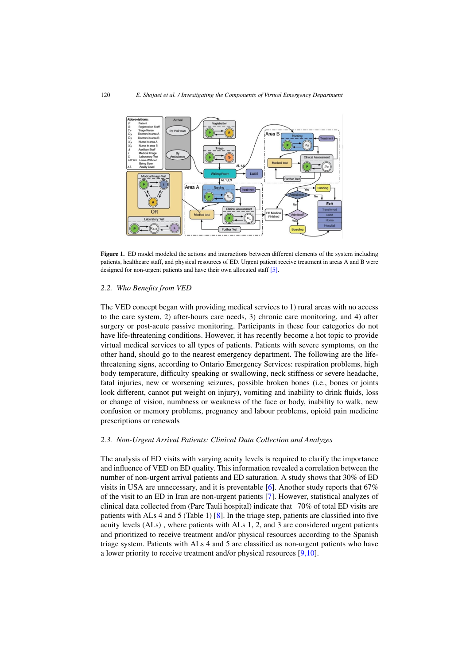

Figure 1. ED model modeled the actions and interactions between different elements of the system including patients, healthcare staff, and physical resources of ED. Urgent patient receive treatment in areas A and B were designed for non-urgent patients and have their own allocated staff [\[5\]](#page-11-0).

#### *2.2. Who Benefits from VED*

The VED concept began with providing medical services to 1) rural areas with no access to the care system, 2) after-hours care needs, 3) chronic care monitoring, and 4) after surgery or post-acute passive monitoring. Participants in these four categories do not have life-threatening conditions. However, it has recently become a hot topic to provide virtual medical services to all types of patients. Patients with severe symptoms, on the other hand, should go to the nearest emergency department. The following are the lifethreatening signs, according to Ontario Emergency Services: respiration problems, high body temperature, difficulty speaking or swallowing, neck stiffness or severe headache, fatal injuries, new or worsening seizures, possible broken bones (i.e., bones or joints look different, cannot put weight on injury), vomiting and inability to drink fluids, loss or change of vision, numbness or weakness of the face or body, inability to walk, new confusion or memory problems, pregnancy and labour problems, opioid pain medicine prescriptions or renewals

#### *2.3. Non-Urgent Arrival Patients: Clinical Data Collection and Analyzes*

The analysis of ED visits with varying acuity levels is required to clarify the importance and influence of VED on ED quality. This information revealed a correlation between the number of non-urgent arrival patients and ED saturation. A study shows that 30% of ED visits in USA are unnecessary, and it is preventable [\[6\]](#page-11-0). Another study reports that 67% of the visit to an ED in Iran are non-urgent patients [\[7\]](#page-11-0). However, statistical analyzes of clinical data collected from (Parc Tauli hospital) indicate that 70% of total ED visits are patients with ALs 4 and 5 (Table 1) [\[8\]](#page-11-0). In the triage step, patients are classified into five acuity levels (ALs) , where patients with ALs 1, 2, and 3 are considered urgent patients and prioritized to receive treatment and/or physical resources according to the Spanish triage system. Patients with ALs 4 and 5 are classified as non-urgent patients who have a lower priority to receive treatment and/or physical resources [\[9,10\]](#page-11-0).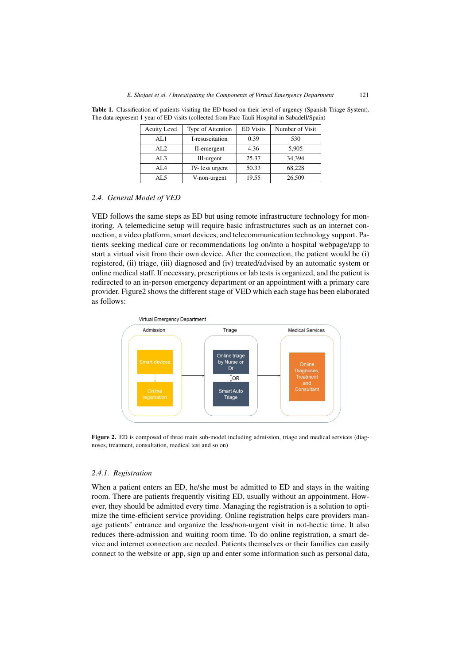| <b>Acuity Level</b> | Type of Attention | <b>ED</b> Visits | Number of Visit |
|---------------------|-------------------|------------------|-----------------|
| AL1                 | I-resuscitation   | 0.39             | 530             |
| AL <sub>2</sub>     | II-emergent       | 4.36             | 5,905           |
| AI.3                | III-urgent        | 25.37            | 34.394          |
| AI4                 | IV-less urgent    | 50.33            | 68,228          |
| AL 5                | V-non-urgent      | 19.55            | 26,509          |

Table 1. Classification of patients visiting the ED based on their level of urgency (Spanish Triage System). The data represent 1 year of ED visits (collected from Parc Tauli Hospital in Sabadell/Spain)

## *2.4. General Model of VED*

VED follows the same steps as ED but using remote infrastructure technology for monitoring. A telemedicine setup will require basic infrastructures such as an internet connection, a video platform, smart devices, and telecommunication technology support. Patients seeking medical care or recommendations log on/into a hospital webpage/app to start a virtual visit from their own device. After the connection, the patient would be (i) registered, (ii) triage, (iii) diagnosed and (iv) treated/advised by an automatic system or online medical staff. If necessary, prescriptions or lab tests is organized, and the patient is redirected to an in-person emergency department or an appointment with a primary care provider. Figure2 shows the different stage of VED which each stage has been elaborated as follows:



Figure 2. ED is composed of three main sub-model including admission, triage and medical services (diagnoses, treatment, consultation, medical test and so on)

## *2.4.1. Registration*

When a patient enters an ED, he/she must be admitted to ED and stays in the waiting room. There are patients frequently visiting ED, usually without an appointment. However, they should be admitted every time. Managing the registration is a solution to optimize the time-efficient service providing. Online registration helps care providers manage patients' entrance and organize the less/non-urgent visit in not-hectic time. It also reduces there-admission and waiting room time. To do online registration, a smart device and internet connection are needed. Patients themselves or their families can easily connect to the website or app, sign up and enter some information such as personal data,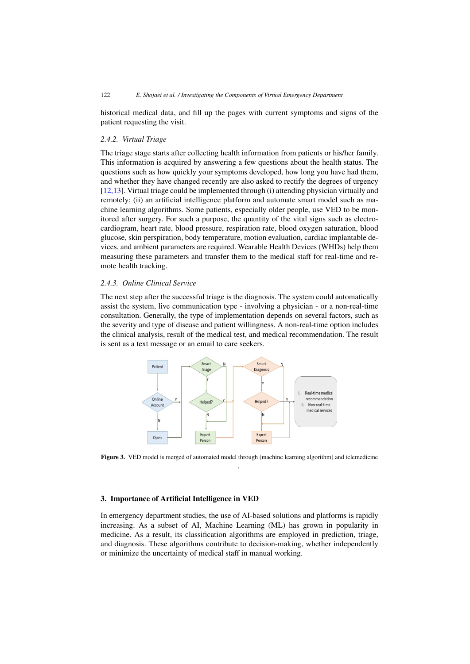historical medical data, and fill up the pages with current symptoms and signs of the patient requesting the visit.

# *2.4.2. Virtual Triage*

The triage stage starts after collecting health information from patients or his/her family. This information is acquired by answering a few questions about the health status. The questions such as how quickly your symptoms developed, how long you have had them, and whether they have changed recently are also asked to rectify the degrees of urgency [\[12,13\]](#page-11-0). Virtual triage could be implemented through (i) attending physician virtually and remotely; (ii) an artificial intelligence platform and automate smart model such as machine learning algorithms. Some patients, especially older people, use VED to be monitored after surgery. For such a purpose, the quantity of the vital signs such as electrocardiogram, heart rate, blood pressure, respiration rate, blood oxygen saturation, blood glucose, skin perspiration, body temperature, motion evaluation, cardiac implantable devices, and ambient parameters are required. Wearable Health Devices (WHDs) help them measuring these parameters and transfer them to the medical staff for real-time and remote health tracking.

# *2.4.3. Online Clinical Service*

The next step after the successful triage is the diagnosis. The system could automatically assist the system, live communication type - involving a physician - or a non-real-time consultation. Generally, the type of implementation depends on several factors, such as the severity and type of disease and patient willingness. A non-real-time option includes the clinical analysis, result of the medical test, and medical recommendation. The result is sent as a text message or an email to care seekers.



Figure 3. VED model is merged of automated model through (machine learning algorithm) and telemedicine .

# 3. Importance of Artificial Intelligence in VED

In emergency department studies, the use of AI-based solutions and platforms is rapidly increasing. As a subset of AI, Machine Learning (ML) has grown in popularity in medicine. As a result, its classification algorithms are employed in prediction, triage, and diagnosis. These algorithms contribute to decision-making, whether independently or minimize the uncertainty of medical staff in manual working.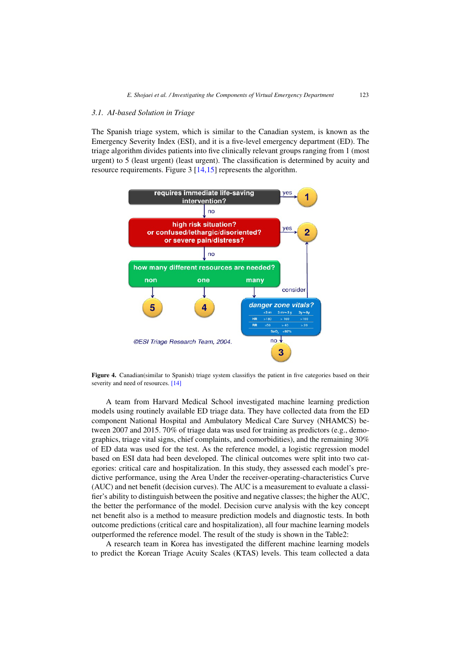### *3.1. AI-based Solution in Triage*

The Spanish triage system, which is similar to the Canadian system, is known as the Emergency Severity Index (ESI), and it is a five-level emergency department (ED). The triage algorithm divides patients into five clinically relevant groups ranging from 1 (most urgent) to 5 (least urgent) (least urgent). The classification is determined by acuity and resource requirements. Figure 3 [\[14,15\]](#page-11-0) represents the algorithm.



Figure 4. Canadian(similar to Spanish) triage system classifiys the patient in five categories based on their severity and need of resources. [\[14\]](#page-11-0)

A team from Harvard Medical School investigated machine learning prediction models using routinely available ED triage data. They have collected data from the ED component National Hospital and Ambulatory Medical Care Survey (NHAMCS) between 2007 and 2015. 70% of triage data was used for training as predictors (e.g., demographics, triage vital signs, chief complaints, and comorbidities), and the remaining 30% of ED data was used for the test. As the reference model, a logistic regression model based on ESI data had been developed. The clinical outcomes were split into two categories: critical care and hospitalization. In this study, they assessed each model's predictive performance, using the Area Under the receiver-operating-characteristics Curve (AUC) and net benefit (decision curves). The AUC is a measurement to evaluate a classifier's ability to distinguish between the positive and negative classes; the higher the AUC, the better the performance of the model. Decision curve analysis with the key concept net benefit also is a method to measure prediction models and diagnostic tests. In both outcome predictions (critical care and hospitalization), all four machine learning models outperformed the reference model. The result of the study is shown in the Table2:

A research team in Korea has investigated the different machine learning models to predict the Korean Triage Acuity Scales (KTAS) levels. This team collected a data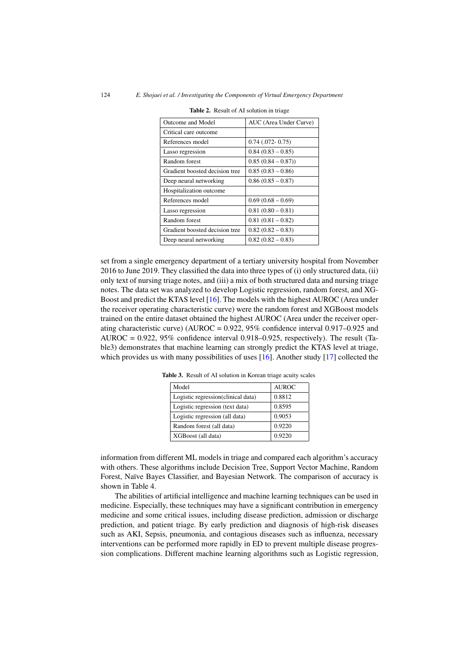| Outcome and Model              | AUC (Area Under Curve) |
|--------------------------------|------------------------|
| Critical care outcome          |                        |
| References model               | $0.74$ $(.072 - 0.75)$ |
| Lasso regression               | $0.84(0.83 - 0.85)$    |
| Random forest                  | $0.85(0.84 - 0.87))$   |
| Gradient boosted decision tree | $0.85(0.83 - 0.86)$    |
| Deep neural networking         | $0.86(0.85-0.87)$      |
| Hospitalization outcome        |                        |
| References model               | $0.69(0.68-0.69)$      |
| Lasso regression               | $0.81(0.80 - 0.81)$    |
| Random forest                  | $0.81(0.81-0.82)$      |
| Gradient boosted decision tree | $0.82(0.82-0.83)$      |
| Deep neural networking         | $0.82(0.82-0.83)$      |

Table 2. Result of AI solution in triage

set from a single emergency department of a tertiary university hospital from November 2016 to June 2019. They classified the data into three types of (i) only structured data, (ii) only text of nursing triage notes, and (iii) a mix of both structured data and nursing triage notes. The data set was analyzed to develop Logistic regression, random forest, and XG-Boost and predict the KTAS level [\[16\]](#page-11-0). The models with the highest AUROC (Area under the receiver operating characteristic curve) were the random forest and XGBoost models trained on the entire dataset obtained the highest AUROC (Area under the receiver operating characteristic curve) (AUROC =  $0.922$ ,  $95\%$  confidence interval  $0.917$ – $0.925$  and AUROC =  $0.922$ ,  $95\%$  confidence interval  $0.918$ – $0.925$ , respectively). The result (Table3) demonstrates that machine learning can strongly predict the KTAS level at triage, which provides us with many possibilities of uses  $[16]$ . Another study  $[17]$  collected the

| Model                               | <b>AUROC</b> |
|-------------------------------------|--------------|
| Logistic regression (clinical data) | 0.8812       |
| Logistic regression (text data)     | 0.8595       |
| Logistic regression (all data)      | 0.9053       |
| Random forest (all data)            | 0.9220       |
| XGBoost (all data)                  | 0.9220       |

Table 3. Result of AI solution in Korean triage acuity scales

information from different ML models in triage and compared each algorithm's accuracy with others. These algorithms include Decision Tree, Support Vector Machine, Random Forest, Naïve Bayes Classifier, and Bayesian Network. The comparison of accuracy is shown in Table 4.

The abilities of artificial intelligence and machine learning techniques can be used in medicine. Especially, these techniques may have a significant contribution in emergency medicine and some critical issues, including disease prediction, admission or discharge prediction, and patient triage. By early prediction and diagnosis of high-risk diseases such as AKI, Sepsis, pneumonia, and contagious diseases such as influenza, necessary interventions can be performed more rapidly in ED to prevent multiple disease progression complications. Different machine learning algorithms such as Logistic regression,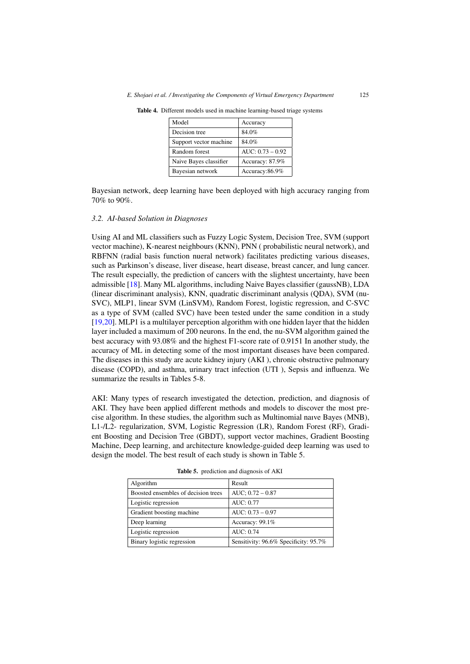| Model                  | Accuracy           |
|------------------------|--------------------|
| Decision tree          | 84.0%              |
| Support vector machine | 84.0%              |
| Random forest          | $AUC: 0.73 - 0.92$ |
| Naive Bayes classifier | Accuracy: 87.9%    |
| Bayesian network       | Accuracy:86.9%     |

Table 4. Different models used in machine learning-based triage systems

Bayesian network, deep learning have been deployed with high accuracy ranging from 70% to 90%.

## *3.2. AI-based Solution in Diagnoses*

Using AI and ML classifiers such as Fuzzy Logic System, Decision Tree, SVM (support vector machine), K-nearest neighbours (KNN), PNN ( probabilistic neural network), and RBFNN (radial basis function nueral network) facilitates predicting various diseases, such as Parkinson's disease, liver disease, heart disease, breast cancer, and lung cancer. The result especially, the prediction of cancers with the slightest uncertainty, have been admissible [\[18\]](#page-11-0). Many ML algorithms, including Naive Bayes classifier (gaussNB), LDA (linear discriminant analysis), KNN, quadratic discriminant analysis (QDA), SVM (nu-SVC), MLP1, linear SVM (LinSVM), Random Forest, logistic regression, and C-SVC as a type of SVM (called SVC) have been tested under the same condition in a study [\[19,20\]](#page-11-0). MLP1 is a multilayer perception algorithm with one hidden layer that the hidden layer included a maximum of 200 neurons. In the end, the nu-SVM algorithm gained the best accuracy with 93.08% and the highest F1-score rate of 0.9151 In another study, the accuracy of ML in detecting some of the most important diseases have been compared. The diseases in this study are acute kidney injury (AKI ), chronic obstructive pulmonary disease (COPD), and asthma, urinary tract infection (UTI ), Sepsis and influenza. We summarize the results in Tables 5-8.

AKI: Many types of research investigated the detection, prediction, and diagnosis of AKI. They have been applied different methods and models to discover the most precise algorithm. In these studies, the algorithm such as Multinomial naıve Bayes (MNB), L1-/L2- regularization, SVM, Logistic Regression (LR), Random Forest (RF), Gradient Boosting and Decision Tree (GBDT), support vector machines, Gradient Boosting Machine, Deep learning, and architecture knowledge-guided deep learning was used to design the model. The best result of each study is shown in Table 5.

| Algorithm                           | Result                                |
|-------------------------------------|---------------------------------------|
| Boosted ensembles of decision trees | $AUC$ ; $0.72 - 0.87$                 |
| Logistic regression                 | AUC: 0.77                             |
| Gradient boosting machine           | $AUC: 0.73 - 0.97$                    |
| Deep learning                       | Accuracy: 99.1%                       |
| Logistic regression                 | AIIC: 0.74                            |
| Binary logistic regression          | Sensitivity: 96.6% Specificity: 95.7% |

Table 5. prediction and diagnosis of AKI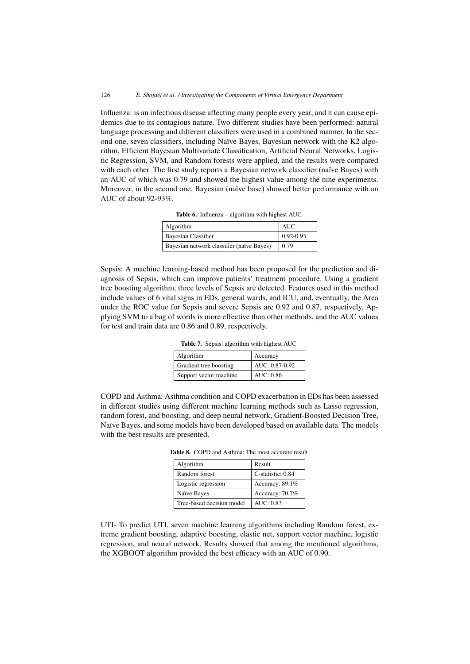Influenza: is an infectious disease affecting many people every year, and it can cause epidemics due to its contagious nature. Two different studies have been performed: natural language processing and different classifiers were used in a combined manner. In the second one, seven classifiers, including Naïve Bayes, Bayesian network with the K2 algorithm, Efficient Bayesian Multivariate Classification, Artificial Neural Networks, Logistic Regression, SVM, and Random forests were applied, and the results were compared with each other. The first study reports a Bayesian network classifier (naïve Bayes) with an AUC of which was 0.79 and showed the highest value among the nine experiments. Moreover, in the second one, Bayesian (naïve base) showed better performance with an AUC of about 92-93%.

| Algorithm                                 | AUC           |
|-------------------------------------------|---------------|
| Bayesian Classifier                       | $0.92 - 0.93$ |
| Bayesian network classifier (naïve Bayes) | 0.79          |

Table 6. Influenza – algorithm with highest AUC

Sepsis: A machine learning-based method has been proposed for the prediction and diagnosis of Sepsis, which can improve patients' treatment procedure. Using a gradient

tree boosting algorithm, three levels of Sepsis are detected. Features used in this method include values of 6 vital signs in EDs, general wards, and ICU, and, eventually, the Area under the ROC value for Sepsis and severe Sepsis are 0.92 and 0.87, respectively. Applying SVM to a bag of words is more effective than other methods, and the AUC values for test and train data are 0.86 and 0.89, respectively.

Table 7. Sepsis: algorithm with highest AUC

| Algorithm              | Accuracy       |  |
|------------------------|----------------|--|
| Gradient tree boosting | AUC: 0.87-0.92 |  |
| Support vector machine | AUC: 0.86      |  |

COPD and Asthma: Asthma condition and COPD exacerbation in EDs has been assessed in different studies using different machine learning methods such as Lasso regression, random forest, and boosting, and deep neural network, Gradient-Boosted Decision Tree, Naïve Bayes, and some models have been developed based on available data. The models with the best results are presented.

Table 8. COPD and Asthma: The most accurate result

| Algorithm                 | Result            |
|---------------------------|-------------------|
| Random forest             | C-statistic: 0.84 |
| Logistic regression       | Accuracy: 89.1%   |
| Naïve Bayes               | Accuracy: 70.7%   |
| Tree-based decision model | AUC: $0.83$       |

UTI- To predict UTI, seven machine learning algorithms including Random forest, extreme gradient boosting, adaptive boosting, elastic net, support vector machine, logistic regression, and neural network. Results showed that among the mentioned algorithms, the XGBOOT algorithm provided the best efficacy with an AUC of 0.90.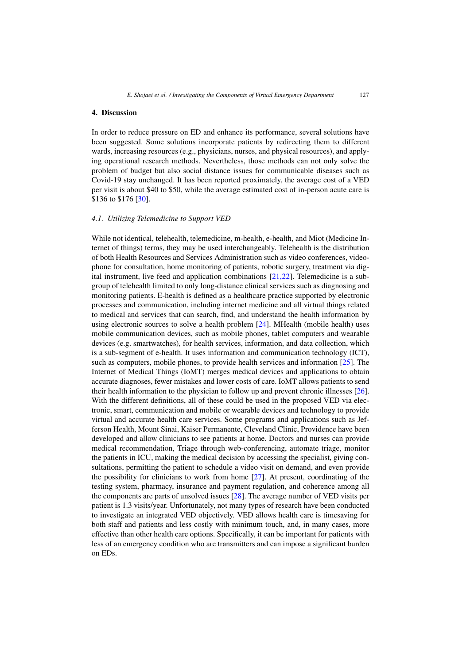# 4. Discussion

In order to reduce pressure on ED and enhance its performance, several solutions have been suggested. Some solutions incorporate patients by redirecting them to different wards, increasing resources (e.g., physicians, nurses, and physical resources), and applying operational research methods. Nevertheless, those methods can not only solve the problem of budget but also social distance issues for communicable diseases such as Covid-19 stay unchanged. It has been reported proximately, the average cost of a VED per visit is about \$40 to \$50, while the average estimated cost of in-person acute care is \$136 to \$176 [\[30\]](#page-12-0).

# *4.1. Utilizing Telemedicine to Support VED*

While not identical, telehealth, telemedicine, m-health, e-health, and Miot (Medicine Internet of things) terms, they may be used interchangeably. Telehealth is the distribution of both Health Resources and Services Administration such as video conferences, videophone for consultation, home monitoring of patients, robotic surgery, treatment via digital instrument, live feed and application combinations [\[21,22\]](#page-11-0). Telemedicine is a subgroup of telehealth limited to only long-distance clinical services such as diagnosing and monitoring patients. E-health is defined as a healthcare practice supported by electronic processes and communication, including internet medicine and all virtual things related to medical and services that can search, find, and understand the health information by using electronic sources to solve a health problem [\[24\]](#page-12-0). MHealth (mobile health) uses mobile communication devices, such as mobile phones, tablet computers and wearable devices (e.g. smartwatches), for health services, information, and data collection, which is a sub-segment of e-health. It uses information and communication technology (ICT), such as computers, mobile phones, to provide health services and information [\[25\]](#page-12-0). The Internet of Medical Things (IoMT) merges medical devices and applications to obtain accurate diagnoses, fewer mistakes and lower costs of care. IoMT allows patients to send their health information to the physician to follow up and prevent chronic illnesses [\[26\]](#page-12-0). With the different definitions, all of these could be used in the proposed VED via electronic, smart, communication and mobile or wearable devices and technology to provide virtual and accurate health care services. Some programs and applications such as Jefferson Health, Mount Sinai, Kaiser Permanente, Cleveland Clinic, Providence have been developed and allow clinicians to see patients at home. Doctors and nurses can provide medical recommendation, Triage through web-conferencing, automate triage, monitor the patients in ICU, making the medical decision by accessing the specialist, giving consultations, permitting the patient to schedule a video visit on demand, and even provide the possibility for clinicians to work from home [\[27\]](#page-12-0). At present, coordinating of the testing system, pharmacy, insurance and payment regulation, and coherence among all the components are parts of unsolved issues [\[28\]](#page-12-0). The average number of VED visits per patient is 1.3 visits/year. Unfortunately, not many types of research have been conducted to investigate an integrated VED objectively. VED allows health care is timesaving for both staff and patients and less costly with minimum touch, and, in many cases, more effective than other health care options. Specifically, it can be important for patients with less of an emergency condition who are transmitters and can impose a significant burden on EDs.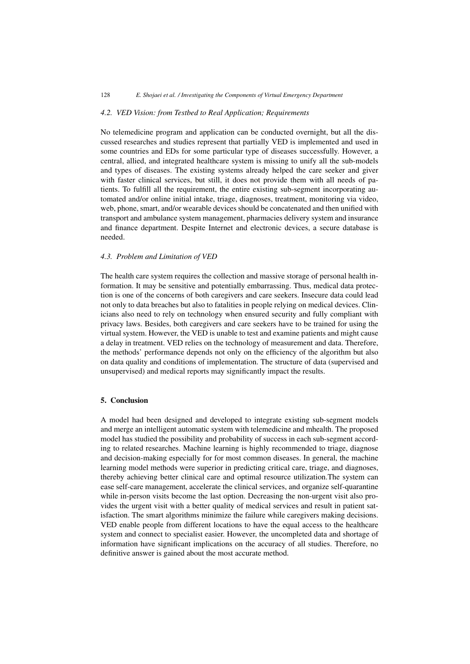## *4.2. VED Vision: from Testbed to Real Application; Requirements*

No telemedicine program and application can be conducted overnight, but all the discussed researches and studies represent that partially VED is implemented and used in some countries and EDs for some particular type of diseases successfully. However, a central, allied, and integrated healthcare system is missing to unify all the sub-models and types of diseases. The existing systems already helped the care seeker and giver with faster clinical services, but still, it does not provide them with all needs of patients. To fulfill all the requirement, the entire existing sub-segment incorporating automated and/or online initial intake, triage, diagnoses, treatment, monitoring via video, web, phone, smart, and/or wearable devices should be concatenated and then unified with transport and ambulance system management, pharmacies delivery system and insurance and finance department. Despite Internet and electronic devices, a secure database is needed.

## *4.3. Problem and Limitation of VED*

The health care system requires the collection and massive storage of personal health information. It may be sensitive and potentially embarrassing. Thus, medical data protection is one of the concerns of both caregivers and care seekers. Insecure data could lead not only to data breaches but also to fatalities in people relying on medical devices. Clinicians also need to rely on technology when ensured security and fully compliant with privacy laws. Besides, both caregivers and care seekers have to be trained for using the virtual system. However, the VED is unable to test and examine patients and might cause a delay in treatment. VED relies on the technology of measurement and data. Therefore, the methods' performance depends not only on the efficiency of the algorithm but also on data quality and conditions of implementation. The structure of data (supervised and unsupervised) and medical reports may significantly impact the results.

## 5. Conclusion

A model had been designed and developed to integrate existing sub-segment models and merge an intelligent automatic system with telemedicine and mhealth. The proposed model has studied the possibility and probability of success in each sub-segment according to related researches. Machine learning is highly recommended to triage, diagnose and decision-making especially for for most common diseases. In general, the machine learning model methods were superior in predicting critical care, triage, and diagnoses, thereby achieving better clinical care and optimal resource utilization.The system can ease self-care management, accelerate the clinical services, and organize self-quarantine while in-person visits become the last option. Decreasing the non-urgent visit also provides the urgent visit with a better quality of medical services and result in patient satisfaction. The smart algorithms minimize the failure while caregivers making decisions. VED enable people from different locations to have the equal access to the healthcare system and connect to specialist easier. However, the uncompleted data and shortage of information have significant implications on the accuracy of all studies. Therefore, no definitive answer is gained about the most accurate method.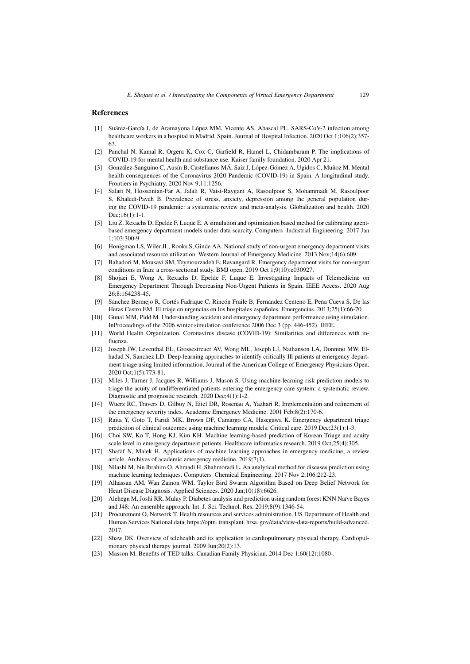## <span id="page-11-0"></span>References

- [1] Suárez-García I, de Aramayona López MM, Vicente AS, Abascal PL. SARS-CoV-2 infection among healthcare workers in a hospital in Madrid, Spain. Journal of Hospital Infection. 2020 Oct 1;106(2):357- 63.
- [2] Panchal N, Kamal R, Orgera K, Cox C, Garfield R, Hamel L, Chidambaram P. The implications of COVID-19 for mental health and substance use. Kaiser family foundation. 2020 Apr 21.
- [3] González-Sanguino C, Ausín B, Castellanos MÁ, Saiz J, López-Gómez A, Ugidos C, Muñoz M. Mental health consequences of the Coronavirus 2020 Pandemic (COVID-19) in Spain. A longitudinal study. Frontiers in Psychiatry. 2020 Nov 9;11:1256.
- [4] Salari N, Hosseinian-Far A, Jalali R, Vaisi-Raygani A, Rasoulpoor S, Mohammadi M, Rasoulpoor S, Khaledi-Paveh B. Prevalence of stress, anxiety, depression among the general population during the COVID-19 pandemic: a systematic review and meta-analysis. Globalization and health. 2020 Dec;16(1):1-1.
- [5] Liu Z, Rexachs D, Epelde F, Luque E. A simulation and optimization based method for calibrating agentbased emergency department models under data scarcity. Computers Industrial Engineering. 2017 Jan 1;103:300-9.
- [6] Honigman LS, Wiler JL, Rooks S, Ginde AA. National study of non-urgent emergency department visits and associated resource utilization. Western Journal of Emergency Medicine. 2013 Nov;14(6):609.
- [7] Bahadori M, Mousavi SM, Teymourzadeh E, Ravangard R. Emergency department visits for non-urgent conditions in Iran: a cross-sectional study. BMJ open. 2019 Oct 1;9(10):e030927.
- [8] Shojaei E, Wong A, Rexachs D, Epelde F, Luque E. Investigating Impacts of Telemedicine on Emergency Department Through Decreasing Non-Urgent Patients in Spain. IEEE Access. 2020 Aug 26;8:164238-45.
- [9] Sánchez Bermejo R, Cortés Fadrique C, Rincón Fraile B, Fernández Centeno E, Peña Cueva S, De las Heras Castro EM. El triaje en urgencias en los hospitales españoles. Emergencias. 2013;25(1):66-70.
- [10] Gunal MM, Pidd M. Understanding accident and emergency department performance using simulation. InProceedings of the 2006 winter simulation conference 2006 Dec 3 (pp. 446-452). IEEE.
- [11] World Health Organization. Coronavirus disease (COVID-19): Similarities and differences with influenza.
- [12] Joseph JW, Leventhal EL, Grossestreuer AV, Wong ML, Joseph LJ, Nathanson LA, Donnino MW, Elhadad N, Sanchez LD. Deep-learning approaches to identify critically Ill patients at emergency department triage using limited information. Journal of the American College of Emergency Physicians Open. 2020 Oct;1(5):773-81.
- [13] Miles J, Turner J, Jacques R, Williams J, Mason S. Using machine-learning risk prediction models to triage the acuity of undifferentiated patients entering the emergency care system: a systematic review. Diagnostic and prognostic research. 2020 Dec;4(1):1-2.
- [14] Wuerz RC, Travers D, Gilboy N, Eitel DR, Rosenau A, Yazhari R. Implementation and refinement of the emergency severity index. Academic Emergency Medicine. 2001 Feb;8(2):170-6.
- [15] Raita Y, Goto T, Faridi MK, Brown DF, Camargo CA, Hasegawa K. Emergency department triage prediction of clinical outcomes using machine learning models. Critical care. 2019 Dec;23(1):1-3.
- [16] Choi SW, Ko T, Hong KJ, Kim KH. Machine learning-based prediction of Korean Triage and acuity scale level in emergency department patients. Healthcare informatics research. 2019 Oct;25(4):305.
- [17] Shafaf N, Malek H. Applications of machine learning approaches in emergency medicine; a review article. Archives of academic emergency medicine. 2019;7(1).
- [18] Nilashi M, bin Ibrahim O, Ahmadi H, Shahmoradi L. An analytical method for diseases prediction using machine learning techniques. Computers Chemical Engineering. 2017 Nov 2;106:212-23.
- [19] Alhassan AM, Wan Zainon WM. Taylor Bird Swarm Algorithm Based on Deep Belief Network for Heart Disease Diagnosis. Applied Sciences. 2020 Jan;10(18):6626.
- [20] Alehegn M, Joshi RR, Mulay P. Diabetes analysis and prediction using random forest KNN Naïve Bayes and J48: An ensemble approach. Int. J. Sci. Technol. Res. 2019;8(9):1346-54.
- [21] Procurement O, Network T. Health resources and services administration. US Department of Health and Human Services National data, https://optn. transplant. hrsa. gov/data/view-data-reports/build-advanced. 2017.
- [22] Shaw DK. Overview of telehealth and its application to cardiopulmonary physical therapy. Cardiopulmonary physical therapy journal. 2009 Jun;20(2):13.
- [23] Masson M. Benefits of TED talks. Canadian Family Physician. 2014 Dec 1;60(12):1080-.